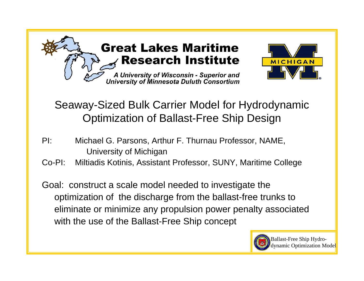

#### **Great Lakes Maritime Research Institute**

A University of Wisconsin - Superior and University of Minnesota Duluth Consortium



#### Seaway-Sized Bulk Carrier Model for Hydrodynamic Optimization of Ballast-Free Ship Design

- PI: Michael G. Parsons, Arthur F. Thurnau Professor, NAME, University of Michigan
- Co-PI: Miltiadis Kotinis, Assistant Professor, SUNY, Maritime College
- Goal: construct a scale model needed to investigate the optimization of the discharge from the ballast-free trunks to eliminate or minimize any propulsion power penalty associated with the use of the Ballast-Free Ship concept

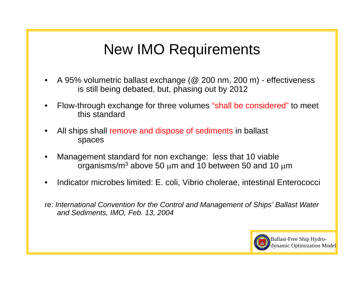### New IMO Requirements

- • A 95% volumetric ballast exchange (@ 200 nm, 200 m) - effectiveness is still being debated, but, phasing out by 2012
- • Flow-through exchange for three volumes "shall be considered" to meet this standard
- • All ships shall remove and dispose of sediments in ballast spaces
- •Management standard for non exchange: less that 10 viable organisms/m $^3$  above 50 μm and 10 between 50 and 10 μm
- •Indicator microbes limited: E. coli, Vibrio cholerae, intestinal Enterococci
- re: *International Convention for the Control and Management of Ships' Ballast Water and Sediments, IMO, Feb. 13, 2004*



Ballast-Free Ship Hydrodynamic Optimization Model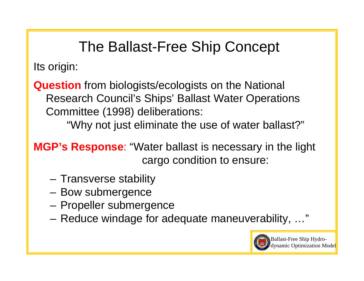### The Ballast-Free Ship Concept

Its origin:

**Question** from biologists/ecologists on the National Research Council's Ships' Ballast Water Operations Committee (1998) deliberations:

"Why not just eliminate the use of water ballast?"

**MGP's Response**: "Water ballast is necessary in the light cargo condition to ensure:

- Transverse stability
- Bow submergence
- –Propeller submergence
- Reduce windage for adequate maneuverability, …"

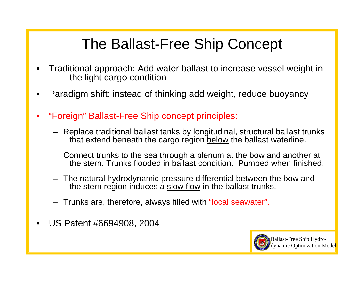## The Ballast-Free Ship Concept

- • Traditional approach: Add water ballast to increase vessel weight in the light cargo condition
- •Paradigm shift: instead of thinking add weight, reduce buoyancy
- • "Foreign" Ballast-Free Ship concept principles:
	- Replace traditional ballast tanks by longitudinal, structural ballast trunks that extend beneath the cargo region below the ballast waterline.
	- $-$  Connect trunks to the sea through a plenum at the bow and another at the stern. Trunks flooded in ballast condition. Pumped when finished.
	- – The natural hydrodynamic pressure differential between the bow and the stern region induces a slow flow in the ballast trunks.
	- Trunks are, therefore, always filled with "local seawater".
- •US Patent #6694908, 2004

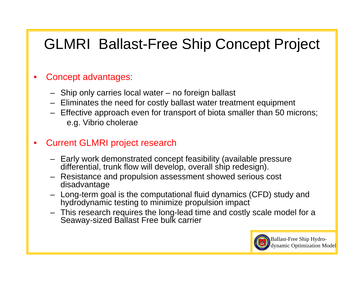## GLMRI Ballast-Free Ship Concept Pro ject

#### •Concept advantages:

- Ship only carries local water no foreign ballast
- Eliminates the need for costly ballast water treatment equipment
- Effective approach even for transport of biota smaller than 50 microns; e.g. Vibrio cholerae

#### •Current GLMRI project research

- Early work demonstrated concept feasibility (available pressure differential, trunk flow will develop, overall ship redesign).
- Resistance and propulsion assessment showed serious cost disadvantage
- $-$  Long-term goal is the computational fluid dynamics (CFD) study and hydrodynamic testing to minimize propulsion impact
- This research requires the long-lead time and costly scale model for a Seaway-sized Ballast Free bulk carrier

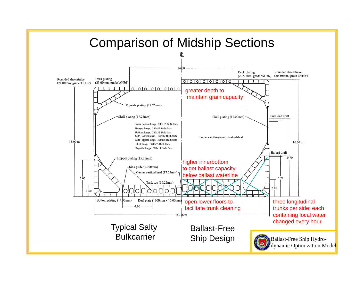

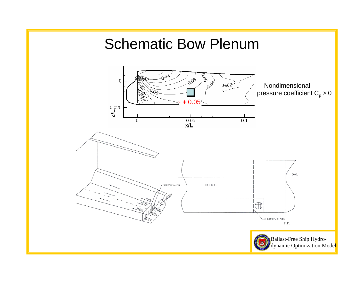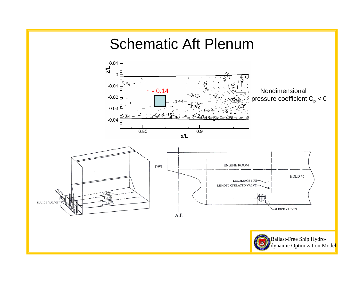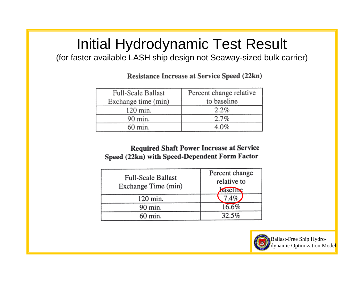# Initial Hydrodynamic Test Result

(for faster available LASH ship design not Seaway-sized bulk carrier)

| <b>Full-Scale Ballast</b><br>Exchange time (min) | Percent change relative<br>to baseline |
|--------------------------------------------------|----------------------------------------|
| 120 min.                                         | $2.2\%$                                |
| 90 min.                                          | 2.7%                                   |
| 60 min.                                          | $4.0\%$                                |

**Resistance Increase at Service Speed (22kn)** 

#### **Required Shaft Power Increase at Service** Speed (22kn) with Speed-Dependent Form Factor

| <b>Full-Scale Ballast</b><br>Exchange Time (min) | Percent change<br>relative to<br>baseline |
|--------------------------------------------------|-------------------------------------------|
| 120 min.                                         | $7.4\%$                                   |
| 90 min.                                          | 16.6%                                     |
| 60 min.                                          | 32.5%                                     |

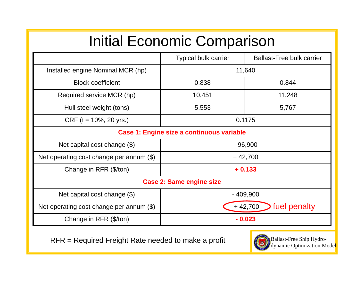## Initial Economic Comparison

|                                           | <b>Typical bulk carrier</b> | <b>Ballast-Free bulk carrier</b> |  |
|-------------------------------------------|-----------------------------|----------------------------------|--|
| Installed engine Nominal MCR (hp)         | 11,640                      |                                  |  |
| <b>Block coefficient</b>                  | 0.838                       | 0.844                            |  |
| Required service MCR (hp)                 | 10,451                      | 11,248                           |  |
| Hull steel weight (tons)                  | 5,553                       | 5,767                            |  |
| $CRF$ (i = 10%, 20 yrs.)                  | 0.1175                      |                                  |  |
| Case 1: Engine size a continuous variable |                             |                                  |  |
| Net capital cost change (\$)              | $-96,900$                   |                                  |  |
| Net operating cost change per annum (\$)  | $+42,700$                   |                                  |  |
| Change in RFR (\$/ton)                    | $+0.133$                    |                                  |  |
| <b>Case 2: Same engine size</b>           |                             |                                  |  |
| Net capital cost change (\$)              | $-409,900$                  |                                  |  |
| Net operating cost change per annum (\$)  | $+42,700$<br>fuel penalty   |                                  |  |
| Change in RFR (\$/ton)                    | $-0.023$                    |                                  |  |

 $RFR =$  Required Freight Rate needed to make a profit

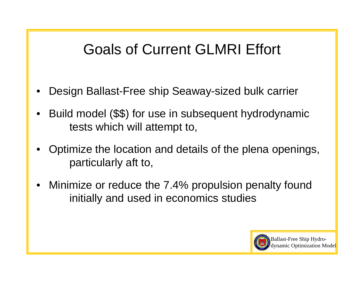### Goals of Current GLMRI Effort

- •• Design Ballast-Free ship Seaway-sized bulk carrier
- • Build model (\$\$) for use in subsequent hydrodynamic tests which will attempt to,
- • Optimize the location and details of the plena openings, particularly aft to,
- • Minimize or reduce the 7.4% propulsion penalty found initially and used in economics studies

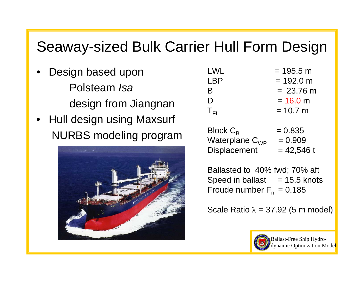#### Seaway-sized Bulk Carrier Hull Form Design

- Design based upon **Polsteam Isa.** design from Jiangnan
- • Hull design using Maxsurf NURBS modeling program



| LWL                        | $= 195.5$ m  |
|----------------------------|--------------|
| LBP                        | $= 192.0$ m  |
| B                          | $= 23.76$ m  |
| D                          | $= 16.0 m$   |
| $\mathsf{T}_{\mathsf{FI}}$ | $= 10.7$ m   |
| Block $C_R$                | $= 0.835$    |
| Waterplane $C_{WP}$        | $= 0.909$    |
| <b>Displacement</b>        | $= 42,546$ t |

Ballasted to 40% fwd; 70% aft Speed in ballast  $= 15.5$  knots Froude number  $\mathsf{F}_\mathsf{n}^{\mathsf{}}=\mathsf{0.185}$ 

Scale Ratio  $\lambda$  = 37.92 (5 m model)



Ballast-Free Ship Hydrodynamic Optimization Model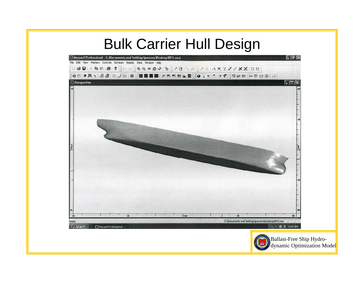#### Bulk Carrier Hull Desi g n



dynamic Optimization Model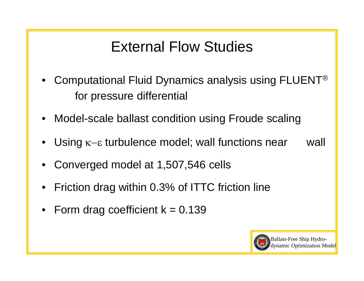### **External Flow Studies**

- $\bullet~$  Computational Fluid Dynamics analysis using FLUENT® for pressure differential
- $\bullet~$  Model-scale ballast condition using Froude scaling
- •Using κ–ε turbulence model; wall functions near wall
- •Converged model at 1,507,546 cells
- •Friction drag within 0.3% of ITTC friction line
- Form drag coefficient k = 0.139

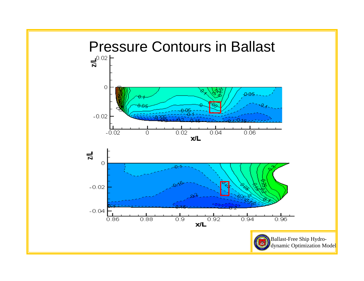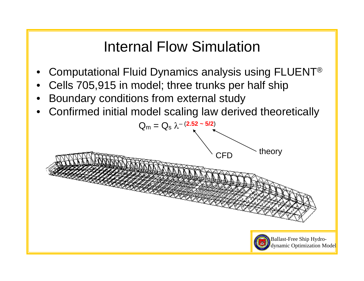#### Internal Flow Simulation

- •Computational Fluid Dynamics analysis using FLUENT®
- •Cells 705,915 in model; three trunks per half ship
- •Boundary conditions from external study
- •Confirmed initial model scaling law derived theoretically

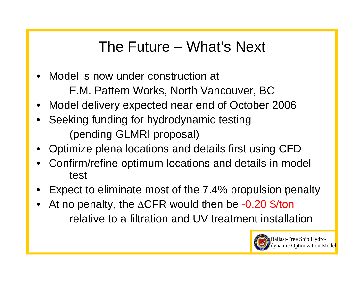## The Future – What's Next

- • Model is now under construction at F.M. Pattern Works, North Vancouver, BC
- •Model delivery expected near end of October 2006
- •Seeking funding for hydrodynamic testing (pending GLMRI proposal)
- •Optimize plena locations and details first using CFD
- • Confirm/refine optimum locations and details in model test
- •Expect to eliminate most of the 7.4% propulsion penalty
- •At no penalty, the  $\triangle CFR$  would then be -0.20 \$/ton relative to a filtration and UV treatment installation

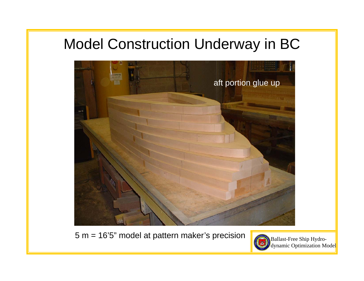#### Model Construction Underwa y in BC



 $5 m = 16'5''$  model at pattern maker's precision



Ballast-Free Ship Hydro-<br>dynamic Optimization Model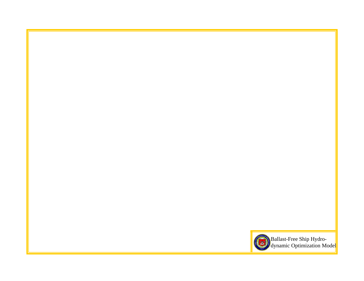